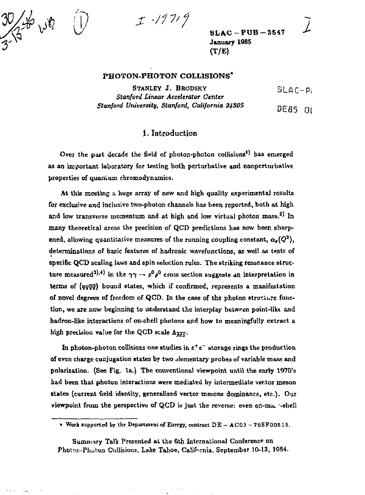*•f17'f* 

*{—~* 

*w* 

بكائل تكلؤ

 $\sim 10$ 

**SLAC-PUB-354 7 January 1985 (T/E)** 

### **PHOTON-PHOTON COLLISIONS\***

**STANLEY J. BRODSKY**  *Stanford Linear Accelerator Center Stanford University, Stanford, California 31305*  SLAC-PI DES5 0(

## 1. Introduction

**Over the past decade the field of photon-photon collisions<sup>1</sup> ' has emerged**  as an important laboratory for testing both perturbative and nonperturbative **properties of quantum chromodynamics.** 

**At this meeting a huge array of new and high quality experimental results for exclusive and inclusive two-photon channels has been reported, both at high**  and low transverse momentum and at high and low virtual photon mass.<sup>2</sup><sup>*l*</sup> In **many theoretical areas the precision of QCD predictions has now been sharpened, allowing quantitative measures of the running coupling constant,**  $\alpha_{\bm{s}}(Q^2)$ **, determinations of basic features of hadronic waverunctions, as well as tests of specific QCD scaling laws and spin selection rules. The striking resonance struc**ture measured<sup>3</sup>).<sup>4</sup>) in the  $\gamma \gamma \to \rho^0 \rho^0$  cross section suggests an interpretation in **terras of** *[qqqq)* **bound states, which if confirmed, represents a manifestation of novel degrees of freedom of QCD. In the case of the photon structure function, we are now beginning to understand the interplay between point-likt and**  hadron-like interactions of on-shell photons and how to meaningfully extract a high precision value for the QCD scale  $\Lambda_{\overline{MS}}$ .

**In photon-photon, collisions one studies in** *t<sup>+</sup> e~* **storage rings the production of even charge conjugation states by two elementary probes of variable mass and polarization. (See Fig. la\_) The conventional viewpoint until the early 1970'a had been that photon interactions were mediated by intermediate vector meson states (current field identity, generalized vector mesons dominance, etc.). Our viewpoint from the perspective of QCD IH just the reverse: even on-ma. -shell** 

**<sup>\*</sup> Work iiipporled by ihe Department of Energy, contract DE - AC03 - 70SF005 15.** 

Summary Talk Presented at the 6th International Conference on Photon-Photon Collisions, Lake Tahoe, California, September 10-13, 1984.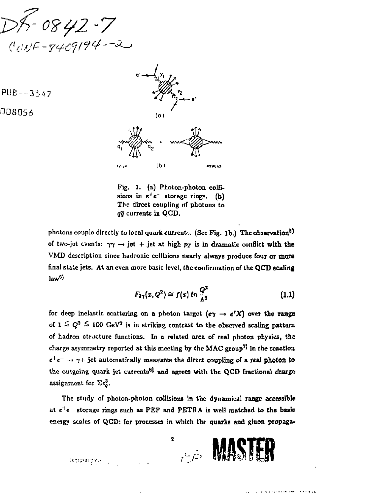0842-7  $(100)F - 3409194 - 2$ 



Fig. 1. (a) Photon-photon collisions in  $e^+e^-$  storage rings. (b) The direct coupling of photons to *qq* currents in QCD.

photons couple directly to local quark current». (See Fig. 1b.) The observation<sup>5)</sup> of two-jet events:  $\gamma\gamma \rightarrow jet + jet$  at high  $p_T$  is in dramatic conflict with the VMD description since hadronic collisions nearly always produce four or more final state jets. At an even more basic level, the confirmation of the QCD scaling law<sup>6)</sup>

$$
F_{2\gamma}(x,Q^2) \cong f(x) \ln \frac{Q^2}{\Lambda^2} \tag{1.1}
$$

for deep inelastic scattering on a photon target  $(e\gamma \rightarrow e^r X)$  over the range of  $1 \lesssim Q^2 \lesssim 100 \text{ GeV}^2$  is in striking contrast to the observed scaling pattern of hadron structure functions. In a related area of real photon physics, the charge asymmetry reported at this meeting by the MAC group<sup>7]</sup> in the reaction  $e^+e^- \rightarrow \gamma +$  jet automatically measures the direct coupling of a real photon to the outgoing quark jet currents<sup>8</sup> and agrees with the QCD fractional charge assignment for  $\Sigma \epsilon_o^3$ .

The study of photon-photon collisions in the dynamical range accessible at  $e^+e^-$  storage rings such as PEP and PETRA is well matched to the basic energy stales of QCD: for processes in which the quarks and gluon propaga-



PUB —3547

008056

 $\overline{2}$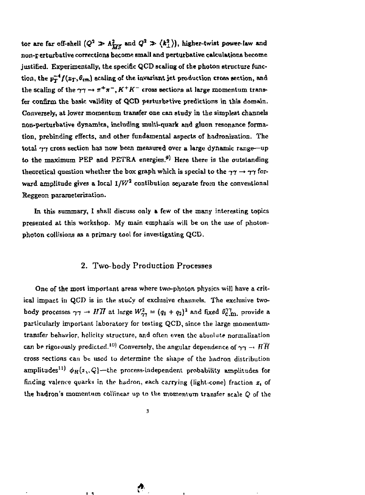tor are far off-shell  $(Q^2 \gg A_{TT}^2$  and  $Q^2 \gg \langle k_\perp^2 \rangle$ , higher-twist power-law and non-perturbative corrections become small and pertutbative calculations become justified. Experimentally, the specific QCD scaling of the photon structure function, the  $p_T^{-4} f(x_T, \theta_{\text{cm}})$  scaling of the invariant jet production cross section, and the scaling of the  $\gamma\gamma \rightarrow \pi^+\pi^-, K^+K^-$  cross sections at large momentum transfer confirm the basic validity of QCD perturbative predictions in this domain. Conversely, at lower momentum transfer one can study in the simplest channels non-perturbative dynamics, including multi-quark and gluon resonance formation, prebinding effects, and other fundamental aspects of hadronization. The total  $\gamma\gamma$  cross section has now been measured over a large dynamic range—up to the maximum PEP and PETRA energies.<sup>9)</sup> Here there is the outstanding theoretical question whether the box graph which is special to the  $\gamma\gamma \rightarrow \gamma\gamma$  forward amplitude gives a local  $1/V^2$  contibution separate from the conventional Reggeon parameterization.

In this summary, I shall discuss only a few of the many interesting topics presented at this workshop. My main emphasis will be on the use of photonphoton collisions as a primary tool for investigating QCD.

# 2. Two-body Production Processes

One of the most important areas where two-photon physics will have a critical impact in QCD is in the study of exclusive channels. The exclusive twobody processes  $\gamma \gamma \to H \bar{H}$  at large  $W^2_{2\gamma} = (q_1 + q_2)^2$  and fixed  $\theta_{\rm C, m}^{TT}$  provide a particularly important laboratory for testing QCD, since the large momentumtransfer behavior, hclicity structure, and often even the absolute normalization can be rigorously predicted.<sup>10</sup> Conversely, the angular dependence of  $\gamma\gamma\rightarrow H\overline{H}$ cross sections can be used to determine the shape of the liadron distribution amplitudes<sup>11)</sup>  $\phi_H(i, Q)$ —the process-independent probability amplitudes for finding valence quarks in the hadron, each carrying (light-cone) fraction  $x_i$  of the hadron'a momentum coIVmc&r up to the momentum transfer scale *Q* of the

**!\*** 

t Л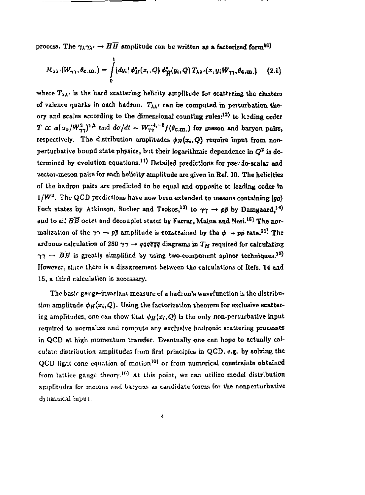process. The  $\gamma_{\lambda}\gamma_{\lambda'} \to H\overline{H}$  amplitude can be written as a factorized form<sup>10</sup>

$$
M_{\lambda\lambda'}(W_{\gamma\gamma},\theta_{\mathbf{C},\mathbf{I}\mathbf{I}\mathbf{I}})=\int\limits_{0}^{1}\left[dy_{i}\right]\phi_{H}^{*}(x_{i},Q)\phi_{H}^{*}(y_{i},Q)T_{\lambda\lambda'}(x,y_{i}W_{\gamma\gamma},\theta_{\mathbf{C},\mathbf{I}\mathbf{I}\mathbf{I}})\qquad(2.1)
$$

where  $T_{\lambda\lambda}$ <sup>,</sup> is the hard scattering helicity amplitude for scattering the clusters of valence quarks in each hadron.  $T_{\lambda\lambda'}$  can be computed in perturbation theory and scales according to the dimensional counting rules:<sup>12)</sup> to leading order *T*  $\alpha$   $\alpha$   $(\alpha_3/W^2_{23})$ <sup>3,2</sup> and  $d\alpha/dt \sim W^{2,1,-9}_{23}$  ( $\theta_{\rm c,m}$ ) for meson and baryon pairs, respectively. The distribution amplitudes  $\phi_H(x_i,Q)$  require input from nonperturbative bound state physics, but their logarithmic dependence in  $Q^2$  is determined by evolution equations.<sup>11</sup>) Detailed predictions for pseudo-scalar and vector-meson pair9 for each hclicity amplitude are given in Ref. 10. The helicities of the hadron pairs are predicted to be equal and opposite to leading order in  $1/W<sup>2</sup>$ . The QCD predictions have now been extended to mesons containing  $\langle \sigma q \rangle$ Fock states by Atkinson, Sucher and Tsokos,<sup>13)</sup> to  $\gamma\gamma \to p\bar{p}$  by Damgaard.<sup>14</sup> and to ail  $B\overline{B}$  octet and decouplet states by Farrar, Maina and Neri.<sup>16</sup> I The normalization of the  $\gamma \gamma \to p\bar{p}$  amplitude is constrained by the  $\psi \to p\bar{p}$  rate.<sup>11</sup> The arduous calculation of 280  $\gamma\gamma\to q\bar{q}q\bar{q}\bar{q}$  diagrams in  $T_H$  required for calculating  $\gamma\gamma \rightarrow B\overline{B}$  is greatly simplified by using two-component spinor techniques.<sup>35</sup>) However, since there is a disagreement between the calculations of Refs. 14 and 15, a third calculation is necessary.

The basic gauge-invariant measure of a hadron's wavefunction is the distribution amplitude  $\phi_H(x_i,Q)$ . Using the factorization theorem for exclusive scattering amplitudes, one can show that  $\phi_H(x_i,Q)$  is the only non-perturbative input required to normalize and compute any exclusive hadronic scattering processes in QCD at high momentum transfer, Eventually one con hope to actually calculate distribution amplitudes from first principles in QCD, e.g. by solving the QCD light-cone equation of motion<sup>10)</sup> or from numerical constraints obtained from lattice gauge theory.<sup>16)</sup> At this point, we can utilize model distribution amplitudes for mesons and baryons as candidate forms for the nonperturbative dynamical input.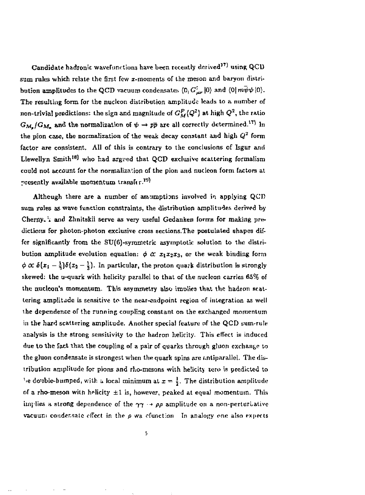Candidate hadronic wavefunctions have been recently derived<sup>17)</sup> using QCD sum rules which relate the first few  $x$ -moments of the meson and baryon distribution amplitudes to the QCD vacuum condensates  $\langle 0_1 G^{\dagger}_{\mu\nu} | 0 \rangle$  and  $\langle 0 | m\psi\psi | 0 \rangle$ . The resulting form for the nuclcon distribution amplitude leads to a number of non-trivial predictions: the sign and magnitude of  $G_M^P(Q^2)$  at high  $Q^2$ , the ratio  $G_{\mathcal{M}_n}/G_{\mathcal{M}_n}$  and the normalization of  $\psi \to p\bar{p}$  are all correctly determined.<sup>17</sup>) In the pion case, the normalization of the weak decay constant and high  $Q^2$  form factor are consistent. All of this is contrary to the conclusions of Isgur and Llewellyn Smith<sup>18</sup> who had argved that QCD exclusive scattering formalism could not account far the normalization of the pion and miction form factors at presently available momentum transfer.<sup>19)</sup>

Although there are a number of assumptions involved in applying  $QCD$ sum rales as wave function constraints, the distribution amplitudes derived by Cherny. I and Zhnitskii serve as very useful Gedanken forms for making predictions for photon-photon exclusive cross sections. The postulated shapes differ significantly from the STJ(6)-symmetric asymptotic solution to the distribution amplitude evolution equation:  $\phi \propto x_1x_2x_3$ , or the weak binding form  $\phi \propto \delta(x_1 - \frac{1}{3})\delta(x_2 - \frac{1}{3})$ . In particular, the proton quark distribution is strongly skewed: the u-quark with helicity parallel to that of the nucleon carries  $65\%$  of the nudeon'a momentum. This asymmetry also imolics that the hadron scattering amplitude is sensitive to the near-endpoint region of integration as well the dependence of the running coupling constant on the exchanged momentum in the hard scattering amplitude. Another special feature of the QCD sum-rule analysis is the strong sensitivity to the hadron helicity. This effect is induced due to the fact that the coupling of a pair of quarks through gluon exchange to the gluon condensate is strongest when the quark spins are antiparallel. The distribution amplitude for pions and rho-mesons with helicity zero is predicted to 's double-humped, with a local minimum at  $x = \frac{1}{2}$ . The distribution amplitude of a rho-meson with helicity  $\pm 1$  is, however, peaked at equal momentum. This implies a strong dependence of the  $\gamma\gamma \rightarrow \rho\rho$  amplitude on a non-perturLative vacuum condensate effect in the  $\rho$  wa efunction In analogy one also expects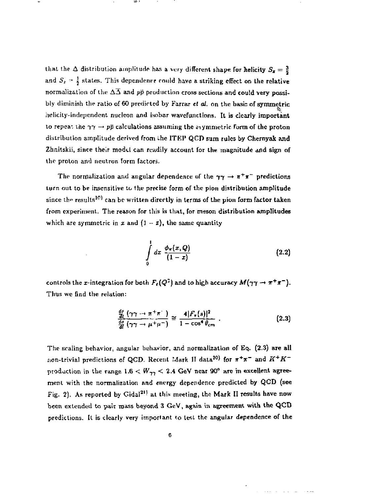that the  $\Delta$  distribution amplitude has a very different shape for helicity  $S_x = \frac{3}{2}$ and  $S_2 = \frac{1}{2}$  states. This dependence rould have a striking effect on the relative normalization of the  $\Delta\overline{\Delta}$  and pp production cross sections and could very possibly diminish the ratio of 60 predicted by Farrar *et a!,* on the basis of symmetric helicity-indcpendent nucleon and isobar wavefunctions. It is clearly important to repeat the  $\gamma \gamma \rightarrow p\bar{p}$  calculations assuming the asymmetric form of the proton distribution amplitude derived from the ITEP QCD sum rules by Chernyak and Zhnitskii, since their model can readily account for the magnitude and sign of the proton and neutron form factors.

The normalization and angular dependence of the  $\gamma\gamma \to \pi^+\pi^-$  predictions turn out to be insensitive to the precise form of the pion distribution amplitude since the results<sup>10</sup> can be written directly in terms of the pion form factor taken from experiment. The reason for this is that, for meson distribution amplitudes which are symmetric in  $x$  and  $(1 - x)$ , the same quantity

$$
\int\limits_{0}^{1} dx \; \frac{\phi_{\pi}(x,Q)}{(1-x)} \qquad \qquad (2.2)
$$

controls the *x*-integration for both  $F_r(Q^2)$  and to high accuracy  $M(\gamma\gamma \to \pi^+\pi^-)$ . Thus we find the relation:

$$
\frac{\frac{d\sigma}{dt}\left(\gamma\gamma\rightarrow\pi^{+}\pi^{-}\right)}{\frac{d\sigma}{dt}\left(\gamma\gamma\rightarrow\mu^{+}\mu^{-}\right)}\cong\frac{4\left|F_{\pi}(s)\right|^{2}}{1-\cos^{4}\theta_{cm}}.
$$
\n(2.3)

ing the state and the state

The scaling behavior, angular behavior, and normalization of Eq. (2.3) are all non-trivial predictions of QCD. Recent Mark II data<sup>20</sup> for  $\pi^+\pi^-$  and  $K^+K^$ production in the range  $1.6 < W_{\gamma\gamma} < 2.4$  GeV near 90° are in excellent agreement with the normalization and energy dependence predicted by QCD (see Fig. 2). As reported by Gidal<sup>211</sup> at this meeting, the Mark II results have now been extended to pair mass beyond 3 GeV, again in agreement with the QCD predictions. It is clearly very important to test the angular dependence of the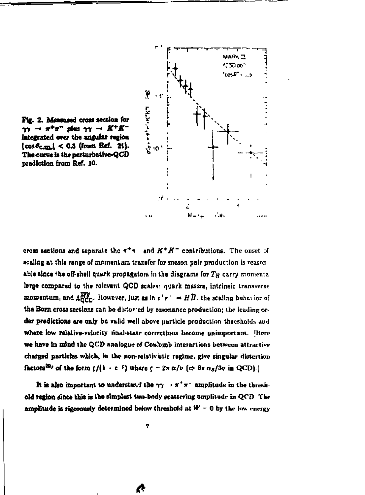



**cross sections and separate the fr<sup>+</sup> ir and** *K\* K~* **contributions. The onset or**  scaling at this range of momentum transfer for meson pair production is reason**able since the off-shell quark propagators in the diagrams for**  $T_H$  **carry momenta** large compared to the relevant QCD scales: quark masses, intrinsic transverse **momentum, and**  $A^{MS}_{\text{QCD}}$ **. However, just as in**  $e^+e^+ \rightarrow H\overline{H}$ **, the scaling behavior of** the Born cross sections can be distor ed by resonance production; the leading or**der predictions are only be valid well above particle production thresholds and where low relative-velocity linai-Ktatr corrections become unimportant. [Here**  we have in mind the QCD analogue of Coulomb interactions between attractive charged particles which, in the non-relativistic regime, give singular distortion factors<sup>22</sup>*'* **of the form**  $\frac{f}{i} \cdot e^{-f}$  **where**  $f - 2\pi \alpha/v$  **(** $\Rightarrow 8\pi \alpha_5/3v$  **in QCD).j** 

It is also important to understand the  $\gamma\gamma \rightarrow \pi^+ \pi^-$  amplitude in the threshold region since this is the simplest two-body scattering amplitude in QCD The amplitude is rigorously determined below threshold at  $W = 0$  by the low energy

**<\***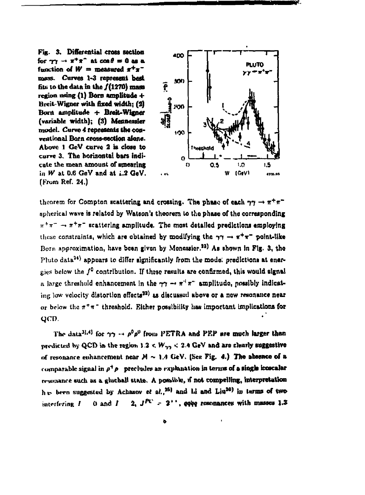**Fig. 3. Differential cross section**  for  $\gamma \gamma \to \pi^+ \pi^-$  at  $\cos \theta = 0$  as a function of  $W =$  measured  $x^+x^$ **mass. Curves 1-3 represent best file to the data in the /(1270) maw region using (l) Born amplitude + Breit Wigner with fixed width; (2) Bom amplitude + Breit-Wlgner (variable width); (3) Meaneasfcr model. Curve** *4* **represents the conventional Born cross-section alone. Above 1 GcV curve 2 is close to curve 3. The horizontal bars indicate the mean amount of smearing in** *W* **at 0.6 GeV and at i.2 GeV. (From Ref. 24.)** 



**theorem for Compton scattering and crossing. The phase of each**  $\gamma\gamma \to \pi^+\pi^$ spherical wave is related by Watson's theorem to the phase of the corresponding  $\pi^+\pi^ \rightarrow$   $\pi^+\pi^-$  scattering amplitude. The most detailed predictions employing these constraints, which are obtained by modifying the  $\gamma\gamma \to \pi^+\pi^-$  point-like Born approximation, have been given by Monessior.<sup>23)</sup> As shown in Fig. 3, the **Pluto data34) appears to differ significantly from the mode: predictions at energies below the /° contribution. If these results are confirmed, this would signal n** large threshold enhancement in the  $\gamma\gamma \to \pi^+ \pi^-$  smplitude, possibly indicating low velocity distortion effects<sup>22)</sup> as discussed above or a new resonance near or below the  $\pi^+\pi^-$  threshold. Either possibility has important implications for gen.

The data<sup>31,4)</sup> for  $\gamma\gamma \rightarrow \rho^0 \rho^0$  from PETRA and PEP are much larger than predicted by QCD in the region  $3.2 < W_{\gamma\gamma} < 2.4$  GeV and are clearly suggestive of resonance enhancement near  $M \sim 1.4$  GeV. (See Fig. 4.) The absence of a comparable signal in  $\rho^+\rho^-$  precludes an explanation in terms of a single icoscalar resonance such as a gluchall state. A possible, if not compelling, interpretation h<sub>ir</sub> been suggested by Achasov *et* al.,<sup>25</sup>) and Li and Liu<sup>20</sup> in terms of two interfering  $I = 0$  and  $I = 2$ ,  $J^{P\mathcal{L}} = 2^{++}$ , **qqiq** resonances with masses 1.3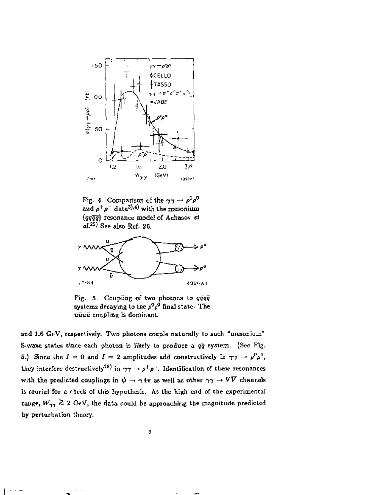

Fig. 4. Comparison of the  $\gamma\gamma \to \rho^0 \rho^0$ and  $\rho^+ \rho^-$  data<sup>3),4)</sup> with the mesonium *(qqqq)* resonance model of Achasov *et*   $aL^{25}$  See also Ref. 26.



Fig. S. Coupling of two photons to *qqqq*  systems decaying to the  $\rho^0\rho^0$  final state. The uuuu coupling is dominant.

and 1.6 GeV, respectively. Two photons couple naturally to such "mesonium" S-wave states since each photon ir likely to produce a *qq* Bystem. (Sec Fig. 5.) Since the  $I = 0$  and  $I = 2$  amplitudes add constructively in  $\gamma \gamma \to \rho^0 \rho^0$ , they interfere destructively<sup>25</sup>) in  $\gamma\gamma \to \rho^+ \rho^-$ . Identification of these resonances with the predicted couplings in  $\psi \to \gamma 4\pi$  as well as other  $\gamma \gamma \to V\overline{V}$  channels is crucial for a check of this hypothesis. At the high end of the experimental range,  $W_{77} \ge 2$  GeV, the data could be approaching the magnitude predicted by perturbation theory.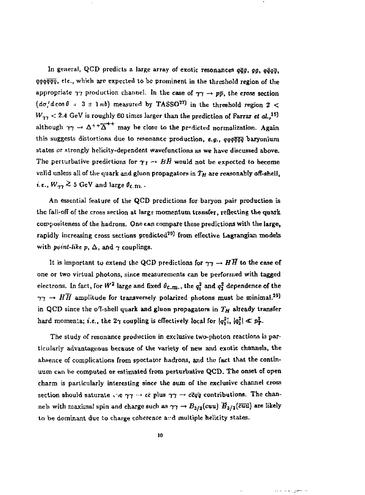In general, QCD predicts a large array of exotic resonances *qqg, gg, qqqq, qqqqqq,* etc., which are expected to be prominent in the threshold region of the appropriate  $\gamma\gamma$  production channel. In the case of  $\gamma\gamma \rightarrow p\bar{p}$ , the cross section  $(d\sigma/d\cos\theta + 3 \pm 1\,nb)$  measured by TASSO<sup>27)</sup> in the threshold region 2 <  $W_{\gamma\gamma} < 2.4$  GeV is roughly 60 times larger than the prediction of Farrar *et al.*,<sup>15)</sup> although  $\gamma\gamma \to \Delta^{++} \overline{\Delta}^{++}$  may be close to the predicted normalization. Again this suggests distortions due to resonance production, e.g., qqqqqq baryonium states or strongly helicity-dcpendent wavefunctiona as we have discussed above. The perturbative predictions for  $\gamma_I \rightarrow B\bar{B}$  would not be expected to become valid unless all of the quark and gluon propagators in  $T_H$  are reasonably off-shell, i.e.,  $W_{\gamma\gamma} \gtrsim 5$  GeV and large  $\theta_{\text{c.m.}}$ .

An essential feature of the QCD predictions for baryon pair production is the fall-off of the cross section at large momentum transfer, reflecting the quark compositeness of the hadrons. One can compare these predictions with the large, rapidly increasing cross sections predicted $^{29}$  from effective Lagrangian models with *point-like* p,  $\Delta$ , and  $\gamma$  couplings.

It is important to extend the QCD predictions for  $\gamma\gamma \to H\overline{H}$  to the case of one or two virtual photons, since measurements can be performed with tagged electrons. In fact, for  $W^2$  large and fixed  $\theta_{\rm c.m.}$ , the  $q_1^2$  and  $q_2^2$  dependence of the  $\gamma\gamma \rightarrow H\overline{H}$  amplitude for transversely polarized photons must be minimal.<sup>29</sup> in QCD since the oT-shcll quark and gluon propagators in *TH* already transfer hard momenta; i.e., the  $2\gamma$  coupling is effectively local for  $|q_1^2|$ ,  $|q_2^2| \ll p_T^2$ .

The study of resonance production in exclusive two-photon reactions is particularly advantageous because of the variety of new and exotic channels, the absence of complications from spectator hadrons, and the fact that the continuum can be computed or estimated from perturbative QCD. The onset of open charm is particularly interesting since the sum of the exclusive channel cross section should saturate ite  $\gamma\gamma \rightarrow c\bar{c}$  plus  $\gamma\gamma \rightarrow c\bar{c}q\bar{q}$  contributions. The channels with maximal spin and charge such as  $\gamma\gamma \to B_{3/2}(c$ uu)  $H_{3/2}(\bar{c}\bar{u}\bar{u})$  are likely to be dominant due to charge coherence and multiple helicity states.

بالمعلوج وعاقرته مدا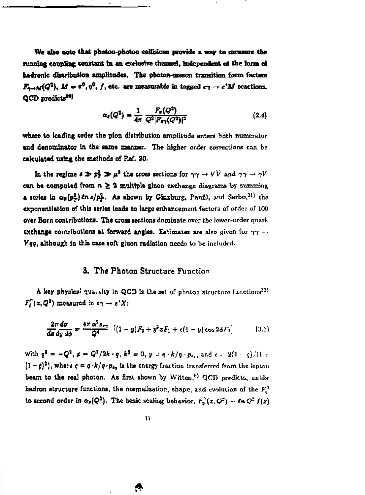We also note that photon-photon collisions provide a way to greasure the running coupling constant in an exclusive channel, independent of the form of **hadronk distribution amplitudes, Th« photon-meson transition fonn factors**   $\mathbf{F}_{\mathbf{y}\to\mathbf{M}}(Q^2)$ ,  $\mathbf{M} = \mathbf{x}^0, \eta^0, f$ , etc. are measurable in tagged  $c\gamma \to e^t\mathbf{M}$  reactions.  $QCD$  predicts<sup>10</sup>

$$
\alpha_s(Q^2) = \frac{1}{4\pi} \frac{F_\pi(Q^2)}{Q^2 |F_{\pi\gamma}(Q^2)|^2} \tag{2.4}
$$

**where to leading order the pion distribution amplitude enters hath numerator and denominator In the same manner. The higher order corrections can be calculated using the methods of Ref. 30,** 

In the regime  $\theta \gg p_T^2 \gg \mu^2$  the cross sections for  $\gamma \gamma \rightarrow VV$  and  $\gamma \gamma \rightarrow \gamma V$  $c$ **an be computed from**  $n \geq 2$  **multiple gluon exchange diagrams by summing a series in**  $\alpha_s(p_T^2)$  **in**  $s/p_T^2$ **. As shown by Ginzburg, Panfil,** and Serbo,<sup>31)</sup> the **exponentiation of this series leads to targe enhancement factors of order of 100 over Born contributions. The cross sections dominate over the lower-order quark exchange contributions at forward angles. Estimates are also given for**  $\gamma\gamma$  **-Veg, although in this caue soft gluon radiation needs to be included.** 

## **3. The Photon Structure Function**

A key physical quantity in QCD is the set of photon structure functions<sup>32</sup>  $F_i^2(z,Q^2)$  measured in  $e\gamma \to e^t X$ :

$$
\frac{2\pi d\sigma}{dx dy d\phi} = \frac{4\pi \alpha^2 s_{e\gamma}}{Q^4} \left[ (1-y) F_2 + y^2 x F_1 + \epsilon (1-y) \cos 2\phi F_2 \right] \tag{3.1}
$$

**with**  $q^2 = -Q^2$ ,  $z = Q^2/2k \cdot q$ ,  $k^2 = 0$ ,  $y = q \cdot k/q \cdot p_{\epsilon_1}$ , and  $\epsilon = 2(1-\epsilon)/(1-\epsilon)$  $(1 - \zeta)^2$ ), where  $\zeta = q \cdot k/q \cdot p_{\theta_2}$  is the energy fraction transferred from the icpton **beam to the real photon. As first shown by Witten,<sup>81</sup> QCD predicts, unlike hadron structure functions, the normalization, shape, and evolution of the f'.<sup>1</sup> to second order in**  $\alpha_{\rho}(Q^2)$ **. The basic scaling behavior,**  $F^{\gamma}_{2}(x, Q^2) \sim \ell \kappa Q^2 f(x)$ 

*&*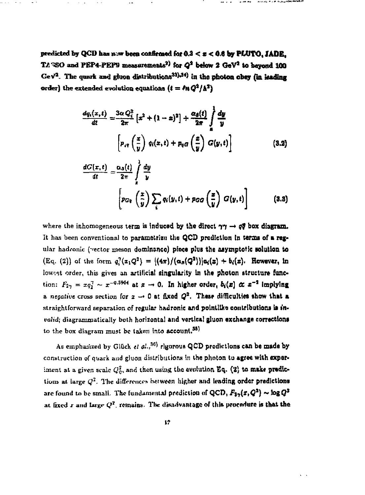predicted by QCD has  $n \gg b$ een confirmed for  $0.3 < z < 0.6$  by PLUTO, JADE. TA: SO and PEP4-PEP9 measurements<sup>2)</sup> for  $Q^2$  below 2  $GeV^2$  to beyond 100 Ge $V^2$ . The quark and gluon distributions<sup>33),34</sup>) in the photon obey (in leading order) the extended evolution equations  $(t = \ln Q^2/\Delta^2)$ 

$$
\frac{dq_i(x,t)}{dt} = \frac{3\alpha Q_i^2}{2\pi} \left[ x^2 + (1-x)^2 \right] + \frac{\alpha_{\mathcal{S}}(t)}{2\pi} \int_{a}^{b} \frac{dy}{y}
$$

$$
\left[ p_{i\mathcal{S}} \left( \frac{x}{y} \right) q_i(x,t) + p_{\mathcal{S}} \left( \frac{x}{y} \right) G(y,t) \right]
$$
(3.2)

$$
\frac{dG(x,t)}{dt} = \frac{\alpha_3(t)}{2\pi} \int_{z}^{1} \frac{dy}{y}
$$
\n
$$
\left[ p_{Gq} \left( \frac{x}{y} \right) \sum_{i} q_i(y,t) + p_{GG} \left( \frac{x}{y} \right) G(y,t) \right]
$$
\n(3.3)

where the inhomogeneous term is induced by the direct  $\gamma\gamma \rightarrow q\bar{q}$  box diagram. It has been conventional to parametrizu the QCD prediction in terms of a regular hadronic (vector meson dominance) piece plus the asymptotic solution to  $(E_{\mathcal{G}_{1}}(2))$  of the form  $q_1^2(x_1Q^2) = |\langle 4\pi \rangle / (\alpha_{\mathcal{A}}(Q^2))| \alpha_{\mathcal{I}}(x) + b_{\mathcal{I}}(x)$ . However, in lowest order, this gives an artificial singularity in the photon structure function:  $F_{2\gamma} = xq_1^{\gamma} \sim x^{-0.5964}$  at  $x \to 0$ . In higher order,  $b_i(x) \propto x^{-2}$  implying *a. negative* cross section for  $x \rightarrow 0$  at fixed  $Q^2$ . These difficulties show that a straightforward separation of regular hatlronic and pointlika contributions la *invalid*; diagrammatically both horizontal and vertical gluon exchange corrections to the box diagram must be taken into account.<sup>35)</sup>

As emphasized by Glück et al.,<sup>36)</sup> rigorous QCD predictions can be made by construction of quark and gluon distributions in the photon to agree with experiment at a given scale  $Q_0^2$ , and then using the evolution Eq. (2) to make predictions- at large  $Q^2$ . The differences hetween higher and leading order predictions are found to be small. The fundamental prediction of QCD,  $F_2$ ,  $(x,Q^2)$  ~  $\log Q^2$ ai fixed *i* and Urgr *Q<sup>2</sup> .* remains. The disadvantage of thte procedure ts that the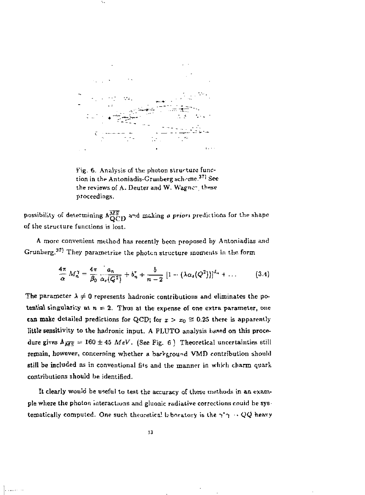

٠.

Fig. 6. Analysis of the photon structure function in the Antoniadis-Grunberg scheme.<sup>37</sup> See the reviews of A. Deuter and W. Wagner, these proceedings.

possibility of determining  $\Lambda_{\rm QCD}^{\overline{MS}}$  and making a priori predictions for the shape of the structure functions is lost.

A more convenient method has recently been proposed by Antoniadias and Grunberg.<sup>37)</sup> They parametrize the photon structure moments in the form

$$
\frac{4\pi}{\alpha}M_n^{\gamma}=\frac{4\pi}{\beta_0}\frac{a_n}{\alpha_s(Q^2)}+b_n^{\tau}+\frac{b}{n-2}\left[1-(\lambda\alpha_s(Q^2))\right]^{d_n}+\dots \qquad (3.4)
$$

The parameter  $\lambda \neq 0$  represents hadronic contributions and eliminates the potential singularity at  $n = 2$ . Thus at the expense of one extra parameter, one can make detailed predictions for QCD; for  $x > x_0 \approx 0.25$  there is apparently little sensitivity to the hadronic input. A PLUTO analysis based on this procedure gives  $\Lambda_{\overline{MS}} = 160 \pm 45$  *MeV.* (See Fig. 6) Theoretical uncertainties still remain, however, concerning whether a barkground VMD contribution should still be included as in conventional fits and the manner in which charm quark contributions should be identified.

It clearly would be useful to test the accuracy of these methods in an example where the photon interactions and gluonic radiative corrections couid be systematically computed. One such theoretical laboratory is the  $\gamma^*\gamma \sim QQ$  heavy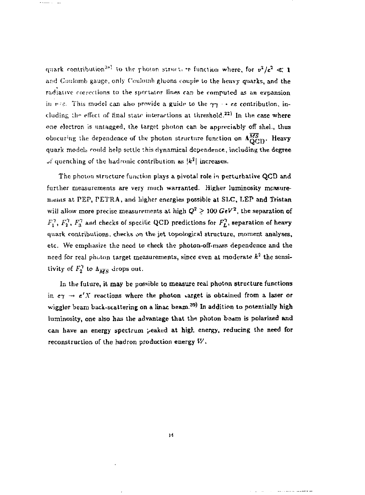quark contribution<sup>35)</sup> to the photon structure function where, for  $v^2/c^2 \ll 1$ and Confomb gauge, only Coulomb gluons couple to the heavy quarks, and the radiative corrections to the spectator lines can be computed as an expansion in  $r \in$ . This model can also provide a guide to the  $\gamma \gamma \rightarrow e e$  contribution, including the effect of final state interactions at threshold.<sup>22)</sup> In the case where one electron is untagged, the target photon can be appreciably off shel., thus obscuring the dependence of the photon structure function on  $\Lambda_{\rm QCD}^{\overline{MS}}$ . Heavy quark models could help settle this dynamical dependence, including the degree  $\mathcal{F}$  quenching of the hadronic contribution as  $|k^2|$  increases.

The photon structure function plays a pivotal role in perturhaiive QCD and further measurements are very much warranted. Higher luminosity mcasurements at PEP, PETRA, and higher energies possible at SLC, LEP and Tristan will allow more precise measurements at high  $Q^2 \geq 100$   $GeV^2$ , the separation of  $F_1^7$ ,  $F_2^7$ ,  $F_3^7$  and checks of specific QCD predictions for  $F_L^7$ , separation of heavy quark contributions, checks on the jet topological structure, moment analyses, etc. We emphasize the need to check the photon-off-mass dependence and the need for real photon target measurements, since even at moderate  $k^2$  the sensitivity of  $F_n^{\gamma}$  to  $\Lambda_{\overline{xx}}$  drops out.

In the future, it may be possible to measure real photon structure functions in  $e\gamma \rightarrow e'X$  reactions where the photon varget is obtained from a laser or wiggler beam back-scattering on a linac beam.<sup>39)</sup> In addition to potentially high luminosity, one also has the advantage that the photon beam is polarized and can have an energy spectrum peaked at high energy, reducing the need for reconstruction of the hadron production energy  $W$ .

**Sales and Canadian A**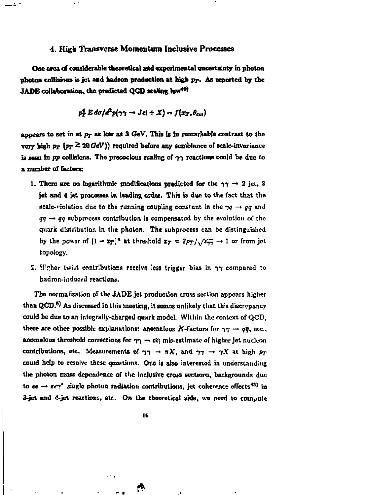#### **4. High Transverse Momentum Inclusive Processes**

**One area of considerable theoretical and experimental uncertainty in photon photon collisions is jet and hadren production at high pp. As reported by the JADE** collaboration, the predicted QCD scaling haw<sup>40</sup>

$$
p_T^4 Ed\sigma/d^3p(\gamma\gamma \to \text{Jet} + X) = f(x_T, \theta_{cm})
$$

appears to set in at  $p_T$  as low as  $3 \text{ GeV}$ . This is in remarkable contrast to the **very high**  $p_T$  **(** $p_T \ge 20$  **GeV)) required before any semblance of scale-invariance** is seen in  $pp$  collisions. The precocious scaling of  $\gamma\gamma$  reactions could be due to **a number of factors;** 

- **1. There are no logarithmic modifications predicted for the**  $\gamma\gamma \rightarrow 2$  **jet, 3 jet and 4 jet processes In leading order. This is due to the fact that the scale-violation due to the running coupling constant in the**  $\gamma q \rightarrow gq$  **and** *qq* **—»** *qq* **subprocess contribution Is compensated by the evolution or the quark distribution in the photon, The subprocess can be distinguished**  by the power of  $(1 - z_T)^n$  at threshold  $z_T = 2p_T/\sqrt{s_{TT}} \rightarrow 1$  or from jet **topology.**
- **2.** H<sub>i</sub>cher twist contributions receive less trigger bias in  $\gamma\gamma$  compared to hadron-induced reactions.

**The normalisation of the JADE jet production cross section appears higher than QCD.<sup>5</sup> ) As discussed in this meeting, it seeing unlikely that this discrepancy could be due to an integrally-charged quark mode). Within the context of QCD,**  there are other possible explanations: anomalous K-factors for  $\gamma\gamma \rightarrow q\bar{q}$ , etc., **anomalous threshold corrections for**  $\gamma\gamma \to c\zeta$ **; mis-estimate of higher jet nucleon** contributions, etc. Measurements of  $\gamma\gamma \rightarrow \pi X$ , and  $\gamma\gamma \rightarrow \gamma X$  at high  $p_T$ could help to resolve these questions. One is also interested in understanding the photon mass dependence of the inclusive cross vections, backgrounds due **to ee**  $\rightarrow$  **erv'** single photon radiation contributions, jet coherence effects<sup>43)</sup> in 3-jet and  $\epsilon$ -jet reactions, etc. On the theoretical side, we need to compute

**- •**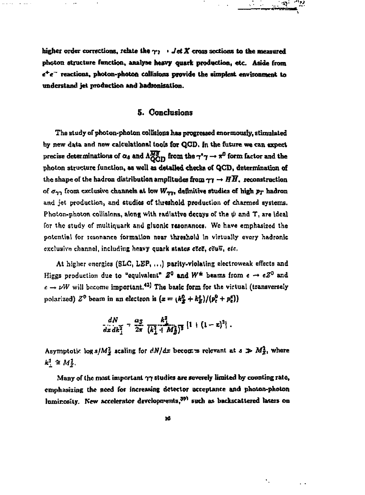**higher order corrections, relate the** *yj* **>** *Jet X* **cross sections to the measured photon structure function, analyse heavy quark production, etc. Aside from « + e~ reactions, photon-photon collisions provide the simplest environment to**  understand jet production and hadronization.

## **5. Conclusions**

**The study of photon-photon collisions has progressed enormously, stimulated**  by new data and new calculational tools for QCD, In the future we can expect precise determinations of  $\alpha_8$  and  $\Lambda_{\text{OCD}}^{N^2}$  from the  $\gamma^*\gamma \to \pi^0$  form factor and the **photon structure function, as well as detailed checks of QGD, determination of**  the shape of the hadron distribution amplitudes from  $\gamma \gamma \rightarrow H\overline{H}$ , reconstruction of  $\sigma_{\gamma\gamma}$  from exclusive channels at low  $W_{\gamma\gamma\gamma}$  definitive studies of high  $p_T$  hadron **and jet production, and studies of threshold production of charmed systems.**  Photon-photon collisions, along with radiative decays of the  $\psi$  and  $T$ , are ideal for the study of multiquark and gluonic resonances. We have emphasized the potential for resonan<del>ce</del> formation near threshold in virtually every hadronic **exclusive channel, including hnavy quark state\*** *eZeZ,* **ccuu,** *etc.* 

At higher energies (SLC, LEP, ...) parity-violating electroweak effects and **Kiggs production due to "equivalent"**  $Z^0$  and  $W^{\pm}$  beams from  $e \rightarrow eZ^0$  and  $e \rightarrow \nu W$  will become important.<sup>43</sup>) The basic form for the virtual (transversely polarized)  $Z^0$  beam in an electron is  $(z = (k_g^0 + k_g^z)/(p_t^0 + p_t^z))$ 

$$
\frac{dN}{dx\,dk_1^2} = \frac{\alpha_S}{2\pi} \frac{k_1^2}{(k_1^2 + M_Z^2)^2} \left[1 + (1-z)^2\right].
$$

Asymptotic log  $s/M_{\tilde{X}}^2$  scaling for  $dN/dx$  becont is relevant at  $s \gg M_{Z_1}^2$ , where  $k^2 \cong M_{\nu}^2$ .

**Many of the most important 77 studies are severely limited by counting rate, emphasizing the need for increasing detector acceptance and photon-photon**  luminosity. New accelerator developments,<sup>39)</sup> such as backscattered lasers on

۰.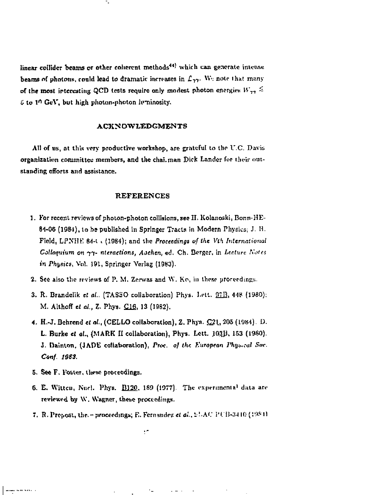linear collider beams or other coherent methods<sup>44)</sup> which can generate intense beams of photons, could lead to dramatic increases in  $L_{77}$ . We note that many of the most interesting QCD tests require only modest photon energies  $W_{77} \leq$  $0$  to 1<sup>0</sup> GeV, but high photon-photon hyminosity,

#### **ACltN OWLEDGMENTS**

All of us, at this very productive workshop, are grateful to the U.C. Davis organization committee members, and thechai.man Dick Lander for their outstanding efforts and assistance.

#### **REFERENCES**

- 1. For recent reviews of photon-photon collisions, see II. Kolanoski, Bonn-HE-84-06 (1984), to be published in Springer Tracts in Modern Physics; J. H. Field, LPNHE 84-1  $\iota$  (1984); and the Proceedings of the Vth International *Colloquium on*  $\gamma\gamma$ - nteractions, Aachen, ed. Ch. Berger, in Lecture Notes *in Physics,* Vol, 191, Springer Vorlag (19B3).
- 2. See also the reviews of P. M. Zerwas and W. Ko, in these proceedings.
- 3. R. Brandelik *et al.*, (TASSO collaboration) Phys. Lett. **97B**, 448 (1980); M. AlthofT *et al., Z.* Phys. CJ£, 13 (1982).
- 4. H.-J. Behrend *et al.*, (CELLO collaboration), Z. Phys.  $Q21$ , 205 (1984). D. L. Burke *et at.,* (MARK II collaboration), Phys. Lett. J03J, 153 (1980). *J.* Dainton, (JADE collaboration), Proc. of the European Physical Sue. *C\*nf. 10SS.*
- 5. See F. Foster, these proceedings.

. . . . . . .

- 6. E. Witten, Nucl. Phys. **B120**, 189 (1977). The experimental data are reviewed by W. Wagner, these proceedings.
- 7. R. Propost, the<sub>1</sub>• proceedings; E. Fernandez et al., 51:AC PUB-3410 (1984)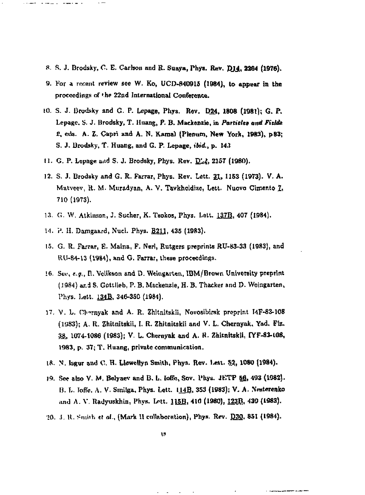- **8- fi. J. Brodsky, C. E. Carlson and R. Suaya, Phys. Rev. p\_m, 2264 (1976).**
- **9. For a recent review sec W. Ko, UCD-840915 (1984), to appear in the**  proceedings of the 22nd International Conference.
- **10. S. J. Urodsky and G. P. Lepage, Piiys, Rev. D24, 1808 (1981); G- P\***  Lepage, S. J. Brodsky, T. Huang, P. B. Mackenzie, in Particles and Fields *2,* **(His. A.** *1.* **Capri and A. N. Karaal (P)cmim, New York, 19B3), p83; S. J. Urodsky, T. Huang, and G. P. Lepage,** *ibid,,* **p. 14.1**
- **11. G. P. Lepage add S. J. Brodsky, Phys. Rev.** *HUi,* **2157 (1980).**
- **12. S. J. Brodsky and G. R. Farrar, Phys. Rev. Lett. 21, 1153 (1973). V. A.**  Matveev, R. M. Muradyan, A. V. Tavkheldize, Lett. Nuovo Cimento 7, **710 (1973).**
- **U. G. W. Atkinson, J. Sueher, K. Tsokos, Fhys, Lott. 137B. 407 (1984).**
- 14. P. H. Damgaard, Nucl. Phys. **B211**, 435 (1983).

 $\frac{1}{2} \left( \frac{1}{2} \frac{1}{2} \frac{1}{2} \frac{1}{2} \frac{1}{2} \right) \frac{1}{2} \left( \frac{1}{2} \frac{1}{2} \frac{1}{2} \frac{1}{2} \frac{1}{2} \right)$ 

- **15. G. R, Farrar, E. Maina, F. Neri, Rutgers preprints RU-83-33 (1983), and K.U-S4-13 (1994), and G. Farrar, these proceeding.**
- 16. See, e.g., **H. Vclikson and D. Weingarten, IBM/Brown University preprint** (1984) and S. Gottlieb, P. B. Mackenzie, H. B. Thacker and D. Weingarten, **Phys. Lett. 134B. 346-3S0 (1984).**
- 17. V. L. Charnyak and A. R. Zhitnitskii, Novosibirsk preprint I4F-83-108 **(1983); A. R. Zhitnitskii, I. R. ZhJtnitskii and V. L. Chernyak, Yad. F&. 36, 1074-1086 (1983); V. L. Chernyak and A. H. ZhitnitskU, IYF-83-108, 1083, p. 37; T. Huang, private communication.**
- 18. N. Isgur and C. H. Llewellyn Smith, Phys. Rev. Lett. **52, 1080** (1984).
- **19. See also V. M. Belyaev and B. L. lode, Sov, Phys. JKTP 56, 403 (1082). I). L. JofTe, A. V. Smilga, Phys. Lott. IHB, 353 (1883); V. A- Nraterenko**  and A. V. Radyuskhin, Phys. Lett. 115B, 410 (1980), 123B, 439 (1983).
- **10. J. R. Smith et «(., (Mark 11 collaboration), Phys. Rev. B3Q. 851 (1984).**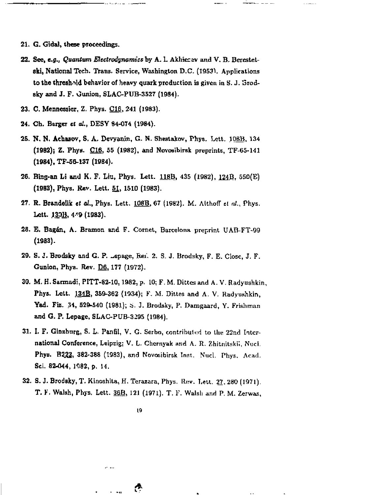- 21. G. Gida), these proceedings.
- *22.* See, *e.g., Quantum Electrodynamics* by A. 1. Akhierav and V. B, Beresietski, National Tech. Trans, Service, Washington D.C. (1953^. Applications to the threshold behavior of heavy quark production is given in S. J. Grodsky and J. F. Ounion, SLAC-PUB-3S27 (1984).
- 23. C. Mennessier, Z. Phys. C16, 241 (1983).
- 24. Ch. Berger et *al.,* DESY 84-074 (1984).
- 25. N. N. Achasov, S. A. Devyanin, G. N. Shestakov, Phys. Lett. 1D8B, 134 (1982)} Z. Phya. C16, 55 (1982), and Novosibirsk preprints, TF-65-141 (19S4),TF-BG-137 (1984).
- 26. Bing-an Li and K. F. Liu, Phys. Lett. 11SB, 435 (1982), 124D. 550(E) (1983), Phys. Kev. Lett, 51, 1510 (1983).
- 27. **R. Brandelik** *et al***., Phys.** Lett. <u>108B,</u> 67 (1982). M. Althoff *et al.*, Phys. Lett. 130B, 449 (1983).
- 28. E. Bagán, A. Bramon and F. Cornet, Barcelona preprint UAB-FT-99 (1983).
- 29. S. J. Brodsky and G. P. -epage, Rei. 2. S. J. Brodsky, F. E. Close, J. F. Gunion, Phya. Rev. D6, 177 (1972).
- 30. M. H. Sarmadi, PITT-82-10,1982, p. 10; F. M. Dittes and A. V. Radyushkin, Phys. Lett. 134B, 359-362 (1934); F. M. Dittes and A. V. Radyushkin, Yad. Fiz. 31, 529-540 (1981); 6. J. Brodsky, P. Damgaard, Y. Frishman and G. P. Lepage, SLAC-FUB-3295 (1984).
- 31. I. F. Ginzburg, S. L. Panfil, V. G. Serbo, contributed to the 22nd International Conference, Leipzig; V. L. Chernyak and A. R. Zhitnitskii, Nuci. Phys. B222, 382-388 (1983), and Novosibirsk Inst. Nucl. Phys. Acad. Sci. 82-044, 1982, p. 14.
- 32. S. J. Brodsky, T. Kinoshita, H. Terazara, Phys. Rev. Lett. 27, 280 (1971). T. *V.* Walsh, Phys, Lett. 36B, 121 (1971). T. *V.* Walsh and P. M. Zerwas,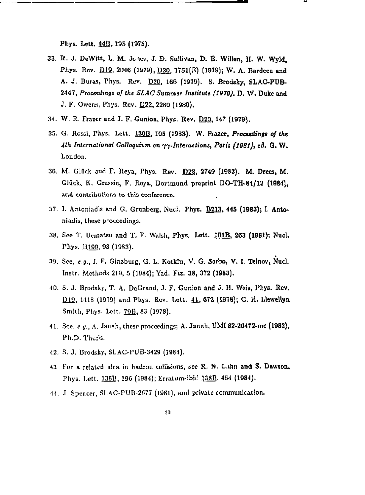Phys. Lett. 44B, 135 (1973).

- 33. II. J. DeWitt, L. M. Jt-nes, J. D. Sullivan, D. E- WiJIen, H. W. Wyld, Phys. Rev. D19, 2046 (1979), D20, 1751(E) (1979); W. A. Bardeen and A. J. Buras, Phys. Rev. D20, 166 (1979). S. Brodsky, SLAC-PUB-2447, Proceedings *of the SLAC Summer fmtitute (1970).* D. W. Duke and J. F. Owens, Phys. Rev. **D22**, 2280 (1980).
- 34. W. R. Frazer and J. F. Gunion, Phys. Rev. 020, 147 (1979).
- 35. G. Rossi, Phys. Lett. 130B, 105 (1983). W. Frazer, Proceedings of the *4th International Colloquium on n-Interaetiont, Part's (1981),* ed. G. W. London.
- 36. M. Glück and F. Reya, Phys. Rev. D28, 2749 (1983). M. Drees, M. Glück, K. Grassie, F. Reya, Dortmund preprint DO-TH-84/12 (1984), and contributions to this conference.
- *'A7.* 1. Antoniadis and G. Grunberg, Nuel. Phys. B213. 445 (19B3); I. Antoniadis, these proceedings.
- 38. See T. Uematsu and T. F. Walsh, Phys. Lett.  $101B$ , 263 (1981); Nucl. Phys. 13199, 93 (1983).
- 39. Sec, *e.g.,* I, F. Ginzburg, G. L. Kotkin, V. G. Sorbo, V. I, Telnov, Nucl. Instr, Methods 2.19\_, 5 (1984); Yad. *Fh.* 38, 372 (1983).
- 40. S. J. Brodsky, T. A. DcGrand, J. F. Gunion and J. H. Wnia, Phys. Rev. D19, 1418 (1979) and Phys. Rev. Lett. 41, 672 (1978); C. H. Llewellyn Smith, Phys. Lett. 79B, 83 (1978).
- 41. Sec, *e.g.,* A. Janah, these proceedings; A- Jaruih, UM1 S2-2G472-mc (1982), Ph.D. Theris.
- •12. S. J. Brodsky, SLAC-PUB-3429 (1981).
- 43. For a related idea in hadron collisions, sec R. N. G.ihn and S, Dawson, Phys. Lett. 136B, 196 (1984); ErraLum-ibiil J38B, 464 (1984).
- 44. J. Spencer, SLAC-PUB-2C77 (1981), and private communication.